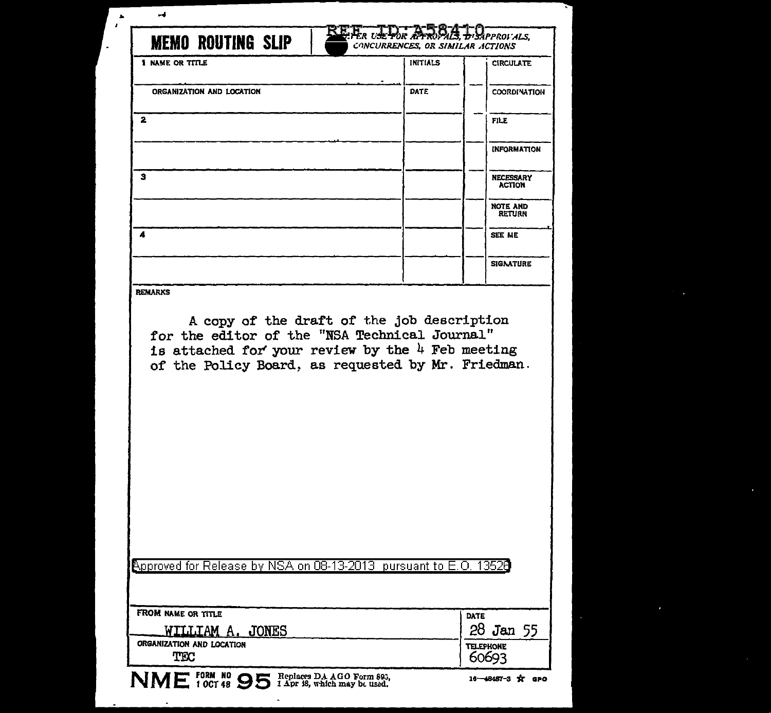|                                                                                                                                                                                                                           |             | <b>CIRCULATE</b>                  |
|---------------------------------------------------------------------------------------------------------------------------------------------------------------------------------------------------------------------------|-------------|-----------------------------------|
|                                                                                                                                                                                                                           |             |                                   |
| ORGANIZATION AND LOCATION                                                                                                                                                                                                 | <b>DATE</b> | <b>COORDINATION</b>               |
| 2<br>з<br>4                                                                                                                                                                                                               |             | <b>FILE</b>                       |
|                                                                                                                                                                                                                           |             | <b>INFORMATION</b>                |
|                                                                                                                                                                                                                           |             | <b>NECESSARY</b><br><b>ACTION</b> |
|                                                                                                                                                                                                                           |             | <b>NOTE AND</b><br><b>RETURN</b>  |
|                                                                                                                                                                                                                           |             | SEE ME                            |
|                                                                                                                                                                                                                           |             | <b>SIGNATURE</b>                  |
| <b>REMARKS</b><br>A copy of the draft of the job description<br>for the editor of the "NSA Technical Journal"<br>is attached for your review by the $4$ Feb meeting<br>of the Policy Board, as requested by Mr. Friedman. |             |                                   |
|                                                                                                                                                                                                                           |             |                                   |
| Approved for Release by NSA on 08-13-2013  pursuant to E.O. 13526                                                                                                                                                         |             |                                   |

 $\mathbf{L}$ 

 $\overline{\phantom{a}}$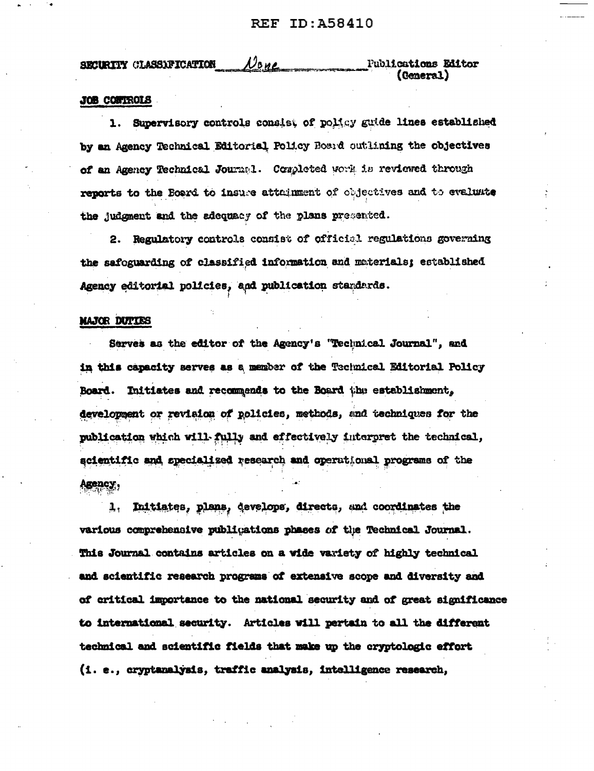<u>None</u> **Fublications Editor** SECURITY CLASSIFICATION (General)

## JOB CONTROLS

Supervisory controls consist of policy guide lines established  $\mathbf{1}$ . by an Agency Technical Editorial Policy Bosid outlining the objectives of an Agency Technical Journal. Completed work is reviewed through reports to the Board to insure attainment of objectives and to evaluate the judgment and the adequacy of the plans presented.

2. Regulatory controls consist of official regulations governing the safoguarding of classified information and materials; established Agency editorial policies, and publication standards.

## MAJOR DUTIES

Serves as the editor of the Agency's "Technical Journal", and in this capacity serves as a member of the Technical Editorial Policy Board. Initiates and recommends to the Board the establishment, development or revision of policies, methods, and techniques for the publication which will fully and effectively interpret the technical, acientific and specialized research and operational programs of the Agency,

Initiates, plans, develops, directs, and coordinates the 1, various comprehensive publications phases of the Technical Journal. This Journal contains articles on a wide variety of highly technical and scientific research programs of extensive scope and diversity and of critical importance to the national security and of great significance to international security. Articles will pertain to all the different technical and scientific fields that make up the cryptologic effort (i. e., cryptanalysis, traffic analysis, intelligence research,